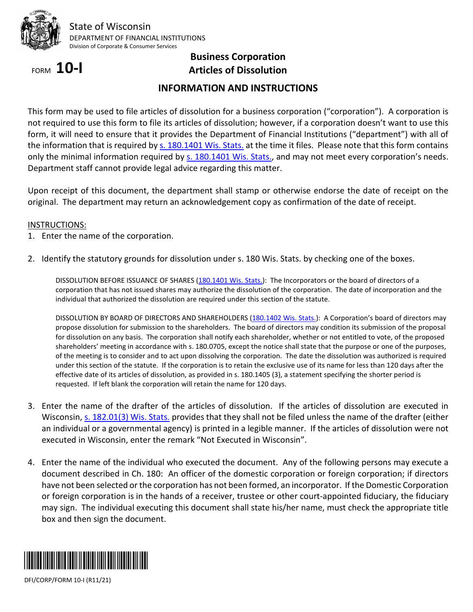

# FORM **10-I**

## **Business Corporation Articles of Dissolution**

### **INFORMATION AND INSTRUCTIONS**

This form may be used to file articles of dissolution for a business corporation ("corporation"). A corporation is not required to use this form to file its articles of dissolution; however, if a corporation doesn't want to use this form, it will need to ensure that it provides the Department of Financial Institutions ("department") with all of the information that is required b[y s. 180.1401 Wis. Stats.](http://docs.legis.wisconsin.gov/statutes/statutes/180/XIV/1401) at the time it files. Please note that this form contains only the minimal information required by [s. 180.1401 Wis. Stats.,](http://docs.legis.wisconsin.gov/statutes/statutes/180/XIV/1401) and may not meet every corporation's needs. Department staff cannot provide legal advice regarding this matter.

Upon receipt of this document, the department shall stamp or otherwise endorse the date of receipt on the original. The department may return an acknowledgement copy as confirmation of the date of receipt.

### INSTRUCTIONS:

- 1. Enter the name of the corporation.
- 2. Identify the statutory grounds for dissolution under s. 180 Wis. Stats. by checking one of the boxes.

DISSOLUTION BEFORE ISSUANCE OF SHARES [\(180.1401 Wis. Stats.\)](http://docs.legis.wisconsin.gov/document/statutes/180.1401): The Incorporators or the board of directors of a corporation that has not issued shares may authorize the dissolution of the corporation. The date of incorporation and the individual that authorized the dissolution are required under this section of the statute.

DISSOLUTION BY BOARD OF DIRECTORS AND SHAREHOLDERS [\(180.1402 Wis. Stats.\)](http://docs.legis.wisconsin.gov/document/statutes/180.1402): A Corporation's board of directors may propose dissolution for submission to the shareholders. The board of directors may condition its submission of the proposal for dissolution on any basis. The corporation shall notify each shareholder, whether or not entitled to vote, of the proposed shareholders' meeting in accordance with s. 180.0705, except the notice shall state that the purpose or one of the purposes, of the meeting is to consider and to act upon dissolving the corporation. The date the dissolution was authorized is required under this section of the statute. If the corporation is to retain the exclusive use of its name for less than 120 days after the effective date of its articles of dissolution, as provided in s. 180.1405 (3), a statement specifying the shorter period is requested. If left blank the corporation will retain the name for 120 days.

- 3. Enter the name of the drafter of the articles of dissolution. If the articles of dissolution are executed in Wisconsin, [s. 182.01\(3\) Wis. Stats.](http://docs.legis.wisconsin.gov/statutes/statutes/182/01/3) provides that they shall not be filed unless the name of the drafter (either an individual or a governmental agency) is printed in a legible manner. If the articles of dissolution were not executed in Wisconsin, enter the remark "Not Executed in Wisconsin".
- 4. Enter the name of the individual who executed the document. Any of the following persons may execute a document described in Ch. 180: An officer of the domestic corporation or foreign corporation; if directors have not been selected or the corporation has not been formed, an incorporator. If the Domestic Corporation or foreign corporation is in the hands of a receiver, trustee or other court-appointed fiduciary, the fiduciary may sign. The individual executing this document shall state his/her name, must check the appropriate title box and then sign the document.



DFI/CORP/FORM 10-I (R11/21)